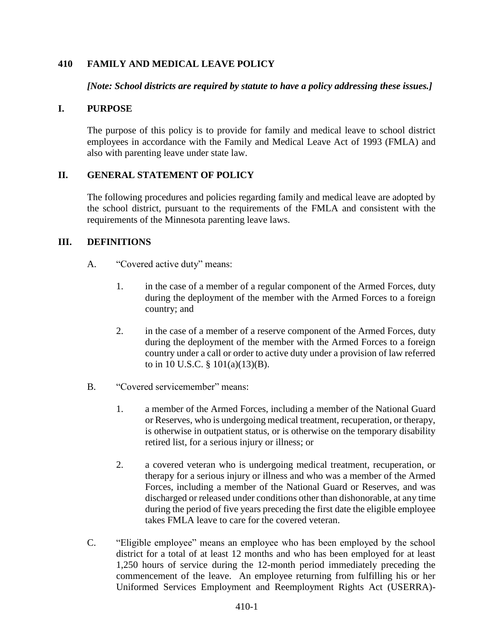### **410 FAMILY AND MEDICAL LEAVE POLICY**

*[Note: School districts are required by statute to have a policy addressing these issues.]*

#### **I. PURPOSE**

The purpose of this policy is to provide for family and medical leave to school district employees in accordance with the Family and Medical Leave Act of 1993 (FMLA) and also with parenting leave under state law.

### **II. GENERAL STATEMENT OF POLICY**

The following procedures and policies regarding family and medical leave are adopted by the school district, pursuant to the requirements of the FMLA and consistent with the requirements of the Minnesota parenting leave laws.

### **III. DEFINITIONS**

- A. "Covered active duty" means:
	- 1. in the case of a member of a regular component of the Armed Forces, duty during the deployment of the member with the Armed Forces to a foreign country; and
	- 2. in the case of a member of a reserve component of the Armed Forces, duty during the deployment of the member with the Armed Forces to a foreign country under a call or order to active duty under a provision of law referred to in 10 U.S.C. § 101(a)(13)(B).
- B. "Covered servicemember" means:
	- 1. a member of the Armed Forces, including a member of the National Guard or Reserves, who is undergoing medical treatment, recuperation, or therapy, is otherwise in outpatient status, or is otherwise on the temporary disability retired list, for a serious injury or illness; or
	- 2. a covered veteran who is undergoing medical treatment, recuperation, or therapy for a serious injury or illness and who was a member of the Armed Forces, including a member of the National Guard or Reserves, and was discharged or released under conditions other than dishonorable, at any time during the period of five years preceding the first date the eligible employee takes FMLA leave to care for the covered veteran.
- C. "Eligible employee" means an employee who has been employed by the school district for a total of at least 12 months and who has been employed for at least 1,250 hours of service during the 12-month period immediately preceding the commencement of the leave. An employee returning from fulfilling his or her Uniformed Services Employment and Reemployment Rights Act (USERRA)-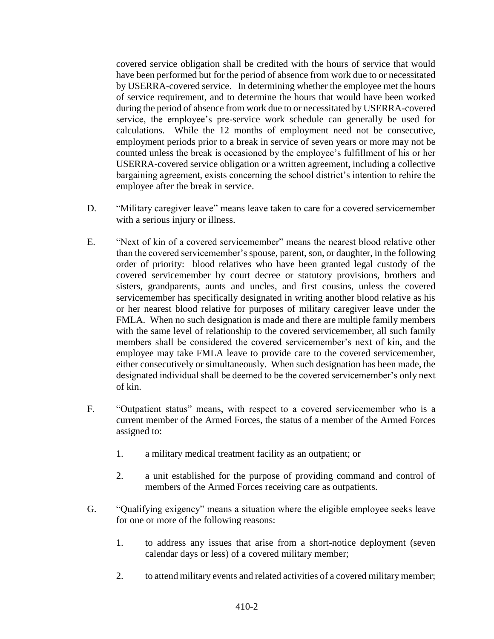covered service obligation shall be credited with the hours of service that would have been performed but for the period of absence from work due to or necessitated by USERRA-covered service. In determining whether the employee met the hours of service requirement, and to determine the hours that would have been worked during the period of absence from work due to or necessitated by USERRA-covered service, the employee's pre-service work schedule can generally be used for calculations. While the 12 months of employment need not be consecutive, employment periods prior to a break in service of seven years or more may not be counted unless the break is occasioned by the employee's fulfillment of his or her USERRA-covered service obligation or a written agreement, including a collective bargaining agreement, exists concerning the school district's intention to rehire the employee after the break in service.

- D. "Military caregiver leave" means leave taken to care for a covered servicemember with a serious injury or illness.
- E. "Next of kin of a covered servicemember" means the nearest blood relative other than the covered servicemember's spouse, parent, son, or daughter, in the following order of priority: blood relatives who have been granted legal custody of the covered servicemember by court decree or statutory provisions, brothers and sisters, grandparents, aunts and uncles, and first cousins, unless the covered servicemember has specifically designated in writing another blood relative as his or her nearest blood relative for purposes of military caregiver leave under the FMLA. When no such designation is made and there are multiple family members with the same level of relationship to the covered servicemember, all such family members shall be considered the covered servicemember's next of kin, and the employee may take FMLA leave to provide care to the covered servicemember, either consecutively or simultaneously. When such designation has been made, the designated individual shall be deemed to be the covered servicemember's only next of kin.
- F. "Outpatient status" means, with respect to a covered servicemember who is a current member of the Armed Forces, the status of a member of the Armed Forces assigned to:
	- 1. a military medical treatment facility as an outpatient; or
	- 2. a unit established for the purpose of providing command and control of members of the Armed Forces receiving care as outpatients.
- G. "Qualifying exigency" means a situation where the eligible employee seeks leave for one or more of the following reasons:
	- 1. to address any issues that arise from a short-notice deployment (seven calendar days or less) of a covered military member;
	- 2. to attend military events and related activities of a covered military member;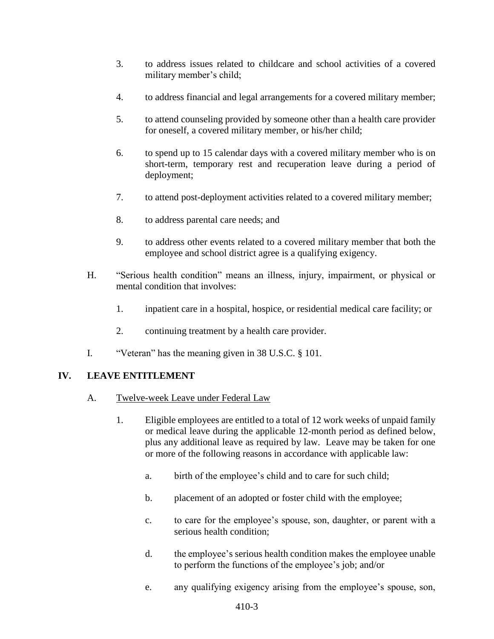- 3. to address issues related to childcare and school activities of a covered military member's child;
- 4. to address financial and legal arrangements for a covered military member;
- 5. to attend counseling provided by someone other than a health care provider for oneself, a covered military member, or his/her child;
- 6. to spend up to 15 calendar days with a covered military member who is on short-term, temporary rest and recuperation leave during a period of deployment;
- 7. to attend post-deployment activities related to a covered military member;
- 8. to address parental care needs; and
- 9. to address other events related to a covered military member that both the employee and school district agree is a qualifying exigency.
- H. "Serious health condition" means an illness, injury, impairment, or physical or mental condition that involves:
	- 1. inpatient care in a hospital, hospice, or residential medical care facility; or
	- 2. continuing treatment by a health care provider.
- I. "Veteran" has the meaning given in 38 U.S.C. § 101.

# **IV. LEAVE ENTITLEMENT**

- A. Twelve-week Leave under Federal Law
	- 1. Eligible employees are entitled to a total of 12 work weeks of unpaid family or medical leave during the applicable 12-month period as defined below, plus any additional leave as required by law. Leave may be taken for one or more of the following reasons in accordance with applicable law:
		- a. birth of the employee's child and to care for such child;
		- b. placement of an adopted or foster child with the employee;
		- c. to care for the employee's spouse, son, daughter, or parent with a serious health condition;
		- d. the employee's serious health condition makes the employee unable to perform the functions of the employee's job; and/or
		- e. any qualifying exigency arising from the employee's spouse, son,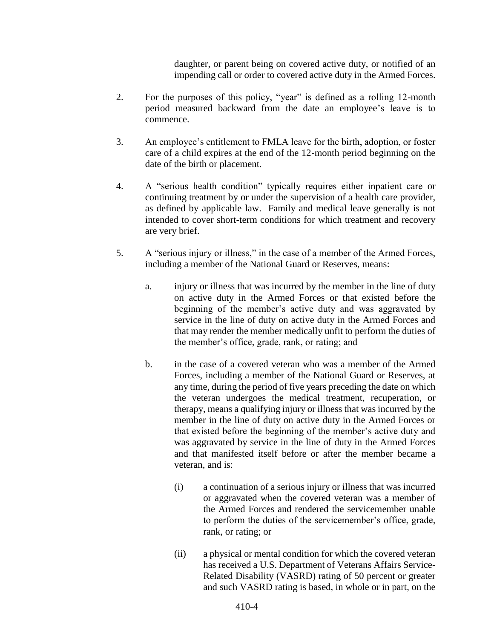daughter, or parent being on covered active duty, or notified of an impending call or order to covered active duty in the Armed Forces.

- 2. For the purposes of this policy, "year" is defined as a rolling 12-month period measured backward from the date an employee's leave is to commence.
- 3. An employee's entitlement to FMLA leave for the birth, adoption, or foster care of a child expires at the end of the 12-month period beginning on the date of the birth or placement.
- 4. A "serious health condition" typically requires either inpatient care or continuing treatment by or under the supervision of a health care provider, as defined by applicable law. Family and medical leave generally is not intended to cover short-term conditions for which treatment and recovery are very brief.
- 5. A "serious injury or illness," in the case of a member of the Armed Forces, including a member of the National Guard or Reserves, means:
	- a. injury or illness that was incurred by the member in the line of duty on active duty in the Armed Forces or that existed before the beginning of the member's active duty and was aggravated by service in the line of duty on active duty in the Armed Forces and that may render the member medically unfit to perform the duties of the member's office, grade, rank, or rating; and
	- b. in the case of a covered veteran who was a member of the Armed Forces, including a member of the National Guard or Reserves, at any time, during the period of five years preceding the date on which the veteran undergoes the medical treatment, recuperation, or therapy, means a qualifying injury or illness that was incurred by the member in the line of duty on active duty in the Armed Forces or that existed before the beginning of the member's active duty and was aggravated by service in the line of duty in the Armed Forces and that manifested itself before or after the member became a veteran, and is:
		- (i) a continuation of a serious injury or illness that was incurred or aggravated when the covered veteran was a member of the Armed Forces and rendered the servicemember unable to perform the duties of the servicemember's office, grade, rank, or rating; or
		- (ii) a physical or mental condition for which the covered veteran has received a U.S. Department of Veterans Affairs Service-Related Disability (VASRD) rating of 50 percent or greater and such VASRD rating is based, in whole or in part, on the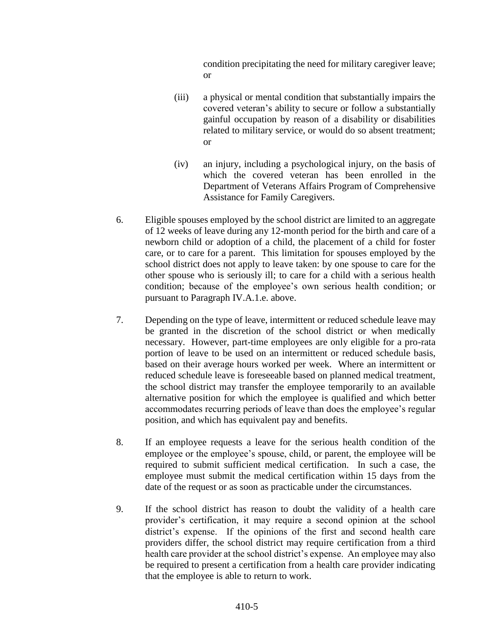condition precipitating the need for military caregiver leave; or

- (iii) a physical or mental condition that substantially impairs the covered veteran's ability to secure or follow a substantially gainful occupation by reason of a disability or disabilities related to military service, or would do so absent treatment; or
- (iv) an injury, including a psychological injury, on the basis of which the covered veteran has been enrolled in the Department of Veterans Affairs Program of Comprehensive Assistance for Family Caregivers.
- 6. Eligible spouses employed by the school district are limited to an aggregate of 12 weeks of leave during any 12-month period for the birth and care of a newborn child or adoption of a child, the placement of a child for foster care, or to care for a parent. This limitation for spouses employed by the school district does not apply to leave taken: by one spouse to care for the other spouse who is seriously ill; to care for a child with a serious health condition; because of the employee's own serious health condition; or pursuant to Paragraph IV.A.1.e. above.
- 7. Depending on the type of leave, intermittent or reduced schedule leave may be granted in the discretion of the school district or when medically necessary. However, part-time employees are only eligible for a pro-rata portion of leave to be used on an intermittent or reduced schedule basis, based on their average hours worked per week. Where an intermittent or reduced schedule leave is foreseeable based on planned medical treatment, the school district may transfer the employee temporarily to an available alternative position for which the employee is qualified and which better accommodates recurring periods of leave than does the employee's regular position, and which has equivalent pay and benefits.
- 8. If an employee requests a leave for the serious health condition of the employee or the employee's spouse, child, or parent, the employee will be required to submit sufficient medical certification. In such a case, the employee must submit the medical certification within 15 days from the date of the request or as soon as practicable under the circumstances.
- 9. If the school district has reason to doubt the validity of a health care provider's certification, it may require a second opinion at the school district's expense. If the opinions of the first and second health care providers differ, the school district may require certification from a third health care provider at the school district's expense. An employee may also be required to present a certification from a health care provider indicating that the employee is able to return to work.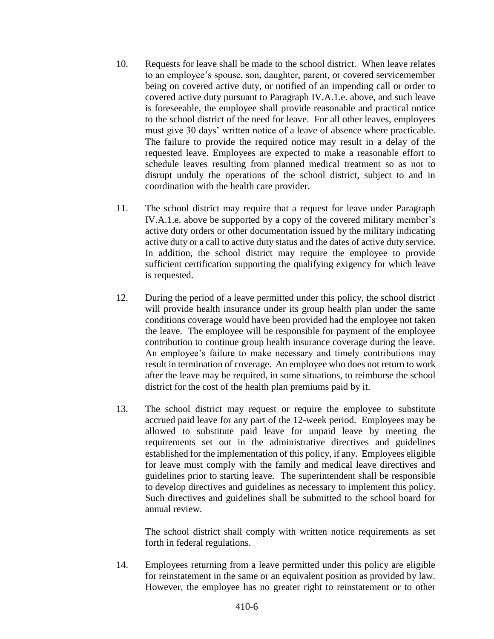- 10. Requests for leave shall be made to the school district. When leave relates to an employee's spouse, son, daughter, parent, or covered servicemember being on covered active duty, or notified of an impending call or order to covered active duty pursuant to Paragraph IV.A.1.e. above, and such leave is foreseeable, the employee shall provide reasonable and practical notice to the school district of the need for leave. For all other leaves, employees must give 30 days' written notice of a leave of absence where practicable. The failure to provide the required notice may result in a delay of the requested leave. Employees are expected to make a reasonable effort to schedule leaves resulting from planned medical treatment so as not to disrupt unduly the operations of the school district, subject to and in coordination with the health care provider.
- 11. The school district may require that a request for leave under Paragraph IV.A.1.e. above be supported by a copy of the covered military member's active duty orders or other documentation issued by the military indicating active duty or a call to active duty status and the dates of active duty service. In addition, the school district may require the employee to provide sufficient certification supporting the qualifying exigency for which leave is requested.
- 12. During the period of a leave permitted under this policy, the school district will provide health insurance under its group health plan under the same conditions coverage would have been provided had the employee not taken the leave. The employee will be responsible for payment of the employee contribution to continue group health insurance coverage during the leave. An employee's failure to make necessary and timely contributions may result in termination of coverage. An employee who does not return to work after the leave may be required, in some situations, to reimburse the school district for the cost of the health plan premiums paid by it.
- 13. The school district may request or require the employee to substitute accrued paid leave for any part of the 12-week period. Employees may be allowed to substitute paid leave for unpaid leave by meeting the requirements set out in the administrative directives and guidelines established for the implementation of this policy, if any. Employees eligible for leave must comply with the family and medical leave directives and guidelines prior to starting leave. The superintendent shall be responsible to develop directives and guidelines as necessary to implement this policy. Such directives and guidelines shall be submitted to the school board for annual review.

The school district shall comply with written notice requirements as set forth in federal regulations.

14. Employees returning from a leave permitted under this policy are eligible for reinstatement in the same or an equivalent position as provided by law. However, the employee has no greater right to reinstatement or to other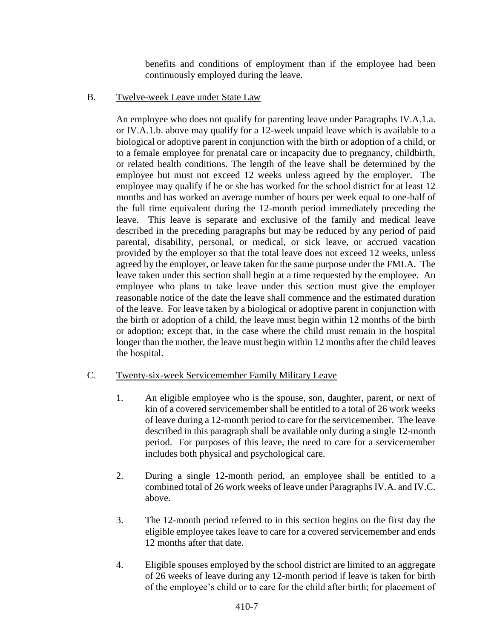benefits and conditions of employment than if the employee had been continuously employed during the leave.

B. Twelve-week Leave under State Law

An employee who does not qualify for parenting leave under Paragraphs IV.A.1.a. or IV.A.1.b. above may qualify for a 12-week unpaid leave which is available to a biological or adoptive parent in conjunction with the birth or adoption of a child, or to a female employee for prenatal care or incapacity due to pregnancy, childbirth, or related health conditions. The length of the leave shall be determined by the employee but must not exceed 12 weeks unless agreed by the employer. The employee may qualify if he or she has worked for the school district for at least 12 months and has worked an average number of hours per week equal to one-half of the full time equivalent during the 12-month period immediately preceding the leave. This leave is separate and exclusive of the family and medical leave described in the preceding paragraphs but may be reduced by any period of paid parental, disability, personal, or medical, or sick leave, or accrued vacation provided by the employer so that the total leave does not exceed 12 weeks, unless agreed by the employer, or leave taken for the same purpose under the FMLA. The leave taken under this section shall begin at a time requested by the employee. An employee who plans to take leave under this section must give the employer reasonable notice of the date the leave shall commence and the estimated duration of the leave. For leave taken by a biological or adoptive parent in conjunction with the birth or adoption of a child, the leave must begin within 12 months of the birth or adoption; except that, in the case where the child must remain in the hospital longer than the mother, the leave must begin within 12 months after the child leaves the hospital.

## C. Twenty-six-week Servicemember Family Military Leave

- 1. An eligible employee who is the spouse, son, daughter, parent, or next of kin of a covered servicemember shall be entitled to a total of 26 work weeks of leave during a 12-month period to care for the servicemember. The leave described in this paragraph shall be available only during a single 12-month period. For purposes of this leave, the need to care for a servicemember includes both physical and psychological care.
- 2. During a single 12-month period, an employee shall be entitled to a combined total of 26 work weeks of leave under Paragraphs IV.A. and IV.C. above.
- 3. The 12-month period referred to in this section begins on the first day the eligible employee takes leave to care for a covered servicemember and ends 12 months after that date.
- 4. Eligible spouses employed by the school district are limited to an aggregate of 26 weeks of leave during any 12-month period if leave is taken for birth of the employee's child or to care for the child after birth; for placement of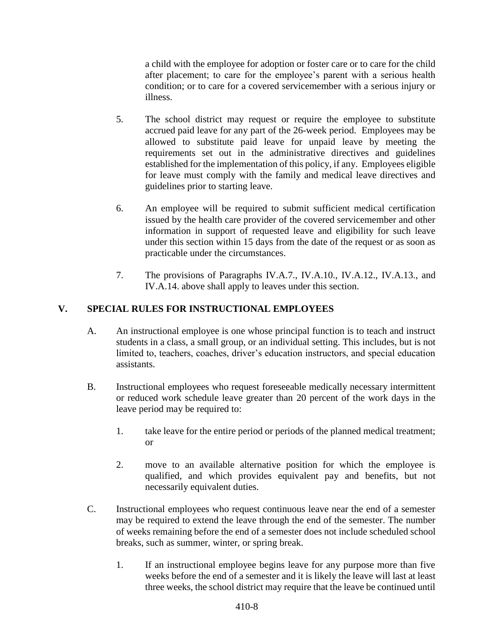a child with the employee for adoption or foster care or to care for the child after placement; to care for the employee's parent with a serious health condition; or to care for a covered servicemember with a serious injury or illness.

- 5. The school district may request or require the employee to substitute accrued paid leave for any part of the 26-week period. Employees may be allowed to substitute paid leave for unpaid leave by meeting the requirements set out in the administrative directives and guidelines established for the implementation of this policy, if any. Employees eligible for leave must comply with the family and medical leave directives and guidelines prior to starting leave.
- 6. An employee will be required to submit sufficient medical certification issued by the health care provider of the covered servicemember and other information in support of requested leave and eligibility for such leave under this section within 15 days from the date of the request or as soon as practicable under the circumstances.
- 7. The provisions of Paragraphs IV.A.7., IV.A.10., IV.A.12., IV.A.13., and IV.A.14. above shall apply to leaves under this section.

# **V. SPECIAL RULES FOR INSTRUCTIONAL EMPLOYEES**

- A. An instructional employee is one whose principal function is to teach and instruct students in a class, a small group, or an individual setting. This includes, but is not limited to, teachers, coaches, driver's education instructors, and special education assistants.
- B. Instructional employees who request foreseeable medically necessary intermittent or reduced work schedule leave greater than 20 percent of the work days in the leave period may be required to:
	- 1. take leave for the entire period or periods of the planned medical treatment; or
	- 2. move to an available alternative position for which the employee is qualified, and which provides equivalent pay and benefits, but not necessarily equivalent duties.
- C. Instructional employees who request continuous leave near the end of a semester may be required to extend the leave through the end of the semester. The number of weeks remaining before the end of a semester does not include scheduled school breaks, such as summer, winter, or spring break.
	- 1. If an instructional employee begins leave for any purpose more than five weeks before the end of a semester and it is likely the leave will last at least three weeks, the school district may require that the leave be continued until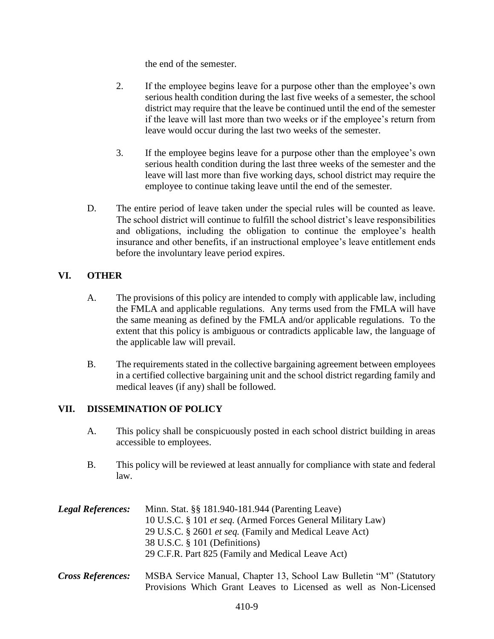the end of the semester.

- 2. If the employee begins leave for a purpose other than the employee's own serious health condition during the last five weeks of a semester, the school district may require that the leave be continued until the end of the semester if the leave will last more than two weeks or if the employee's return from leave would occur during the last two weeks of the semester.
- 3. If the employee begins leave for a purpose other than the employee's own serious health condition during the last three weeks of the semester and the leave will last more than five working days, school district may require the employee to continue taking leave until the end of the semester.
- D. The entire period of leave taken under the special rules will be counted as leave. The school district will continue to fulfill the school district's leave responsibilities and obligations, including the obligation to continue the employee's health insurance and other benefits, if an instructional employee's leave entitlement ends before the involuntary leave period expires.

## **VI. OTHER**

- A. The provisions of this policy are intended to comply with applicable law, including the FMLA and applicable regulations. Any terms used from the FMLA will have the same meaning as defined by the FMLA and/or applicable regulations. To the extent that this policy is ambiguous or contradicts applicable law, the language of the applicable law will prevail.
- B. The requirements stated in the collective bargaining agreement between employees in a certified collective bargaining unit and the school district regarding family and medical leaves (if any) shall be followed.

## **VII. DISSEMINATION OF POLICY**

- A. This policy shall be conspicuously posted in each school district building in areas accessible to employees.
- B. This policy will be reviewed at least annually for compliance with state and federal law.

*Legal References:* Minn. Stat. §§ 181.940-181.944 (Parenting Leave) 10 U.S.C. § 101 *et seq.* (Armed Forces General Military Law) 29 U.S.C. § 2601 *et seq.* (Family and Medical Leave Act) 38 U.S.C. § 101 (Definitions) 29 C.F.R. Part 825 (Family and Medical Leave Act)

*Cross References:* MSBA Service Manual, Chapter 13, School Law Bulletin "M" (Statutory Provisions Which Grant Leaves to Licensed as well as Non-Licensed